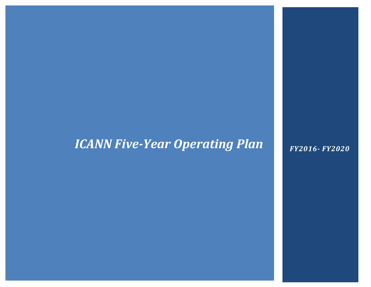## *ICANN Five-Year Operating Plan*

*FY2016- FY2020*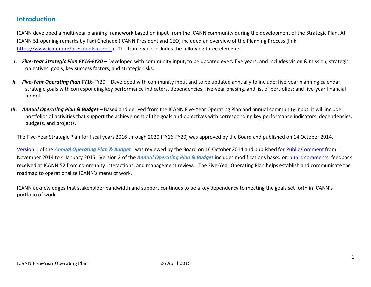### **Introduction**

ICANN developed a multi-year planning framework based on input from the ICANN community during the development of the Strategic Plan. At ICANN 51 opening remarks by Fadi Chehadé (ICANN President and CEO) included an overview of the Planning Process (link: [https://www.icann.org/presidents-corner\)](https://www.icann.org/presidents-corner). The framework includes the following three elements:

- *I. Five-Year Strategic Plan FY16-FY20*  Developed with community input, to be updated every five years, and includes vision & mission, strategic objectives, goals, key success factors, and strategic risks.
- *II. Five-Year Operating Plan* FY16-FY20 Developed with community input and to be updated annually to include: five-year planning calendar; strategic goals with corresponding key performance indicators, dependencies, five-year phasing, and list of portfolios; and five-year financial model.
- *III. Annual Operating Plan & Budget* Based and derived from the ICANN Five-Year Operating Plan and annual community input, it will include portfolios of activities that support the achievement of the goals and objectives with corresponding key performance indicators, dependencies, budgets, and projects.

The Five-Year Strategic Plan for fiscal years 2016 through 2020 (FY16-FY20) was approved by the Board and published on 14 October 2014.

[Version 1](https://www.icann.org/en/system/files/files/proposed-opplan-budget-2016-2020-10nov14-en.pdf) of the *Annual Operating Plan & Budget* was reviewed by the Board on 16 October 2014 and published for [Public Comment](https://www.icann.org/public-comments/proposed-opplan-budget-2016-2020-2014-11-11-en) from 11 November 2014 to 4 January 2015. Version 2 of the *Annual Operating Plan & Budget* includes modifications based on [public comments,](https://www.icann.org/public-comments/op-budget-fy16-2015-03-18-en) feedback received at ICANN 52 from community interactions, and management review. The Five-Year Operating Plan helps establish and communicate the roadmap to operationalize ICANN's menu of work.

ICANN acknowledges that stakeholder bandwidth and support continues to be a key dependency to meeting the goals set forth in ICANN's portfolio of work.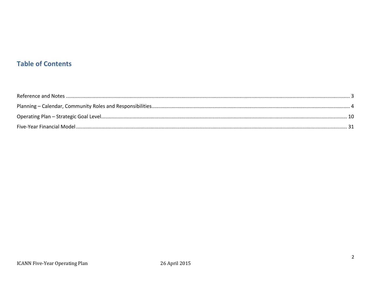## **Table of Contents**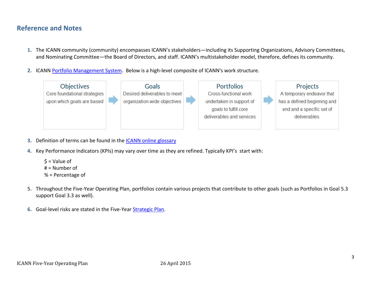## **Reference and Notes**

- **1.** The ICANN community (community) encompasses ICANN's stakeholders—including its Supporting Organizations, Advisory Committees, and Nominating Committee—the Board of Directors, and staff. ICANN's multistakeholder model, therefore, defines its community.
- **2.** ICANN [Portfolio Management System](https://features.icann.org/plan)**.** Below is a high-level composite of ICANN's work structure.



- **3.** Definition of terms can be found in the [ICANN online glossary](https://www.icann.org/resources/pages/glossary-2014-02-03-en)
- **4.** Key Performance Indicators (KPIs) may vary over time as they are refined. Typically KPI's start with:

```
\mathsf{\dot{S}} = Value of
# = Number of
% = Percentage of
```
- 5. Throughout the Five-Year Operating Plan, portfolios contain various projects that contribute to other goals (such as Portfolios in Goal 5.3 support Goal 3.3 as well).
- **6.** Goal-level risks are stated in the Five-Year [Strategic Plan.](https://www.icann.org/resources/pages/strategic-engagement-2013-10-10-en)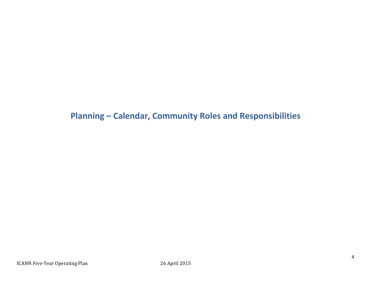**Planning – Calendar, Community Roles and Responsibilities**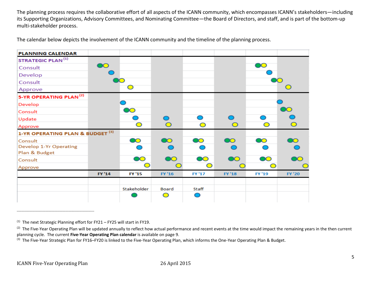The planning process requires the collaborative effort of all aspects of the ICANN community, which encompasses ICANN's stakeholders—including its Supporting Organizations, Advisory Committees, and Nominating Committee—the Board of Directors, and staff, and is part of the bottom-up multi-stakeholder process.

The calendar below depicts the involvement of the ICANN community and the timeline of the planning process.

| <b>PLANNING CALENDAR</b>                    |        |               |           |            |                        |           |               |
|---------------------------------------------|--------|---------------|-----------|------------|------------------------|-----------|---------------|
| <b>STRATEGIC PLAN<sup>(1)</sup></b>         |        |               |           |            |                        |           |               |
| Consult                                     |        |               |           |            |                        |           |               |
| Develop                                     |        |               |           |            |                        |           |               |
| Consult                                     |        |               |           |            |                        |           |               |
| Approve                                     |        |               |           |            |                        |           |               |
| 5-YR OPERATING PLAN <sup>(2)</sup>          |        |               |           |            |                        |           |               |
| Develop                                     |        |               |           |            |                        |           |               |
| Consult                                     |        | DO            |           |            |                        |           |               |
| Update                                      |        |               |           |            |                        |           |               |
| Approve                                     |        |               |           | $\bigcirc$ | O                      | ◯         |               |
| 1-YR OPERATING PLAN & BUDGET <sup>(3)</sup> |        |               |           |            |                        |           |               |
| Consult                                     |        | $\infty$      |           | $\bullet$  |                        | $\bullet$ |               |
| <b>Develop 1-Yr Operating</b>               |        |               |           |            |                        |           |               |
| Plan & Budget                               |        |               |           |            |                        |           |               |
| Consult                                     |        | DO            | <b>AO</b> | DO         | $\mathbf{O}\mathbf{O}$ | <b>AO</b> |               |
| Approve                                     |        |               |           |            |                        |           |               |
|                                             | FY '14 | <b>FY '15</b> | FY '16    | FY '17     | <b>FY '18</b>          | FY '19    | <b>FY '20</b> |
|                                             |        |               |           |            |                        |           |               |
|                                             |        | Stakeholder   | Board     | Staff      |                        |           |               |
|                                             |        |               | ◯         |            |                        |           |               |
|                                             |        |               |           |            |                        |           |               |

\_\_\_\_\_\_\_\_\_\_\_\_\_\_\_\_\_\_\_\_\_\_\_\_\_\_\_\_\_\_\_\_\_\_\_\_\_\_\_\_\_\_\_\_\_\_\_\_\_\_\_

 $<sup>(1)</sup>$  The next Strategic Planning effort for FY21 – FY25 will start in FY19.</sup>

 $^{(2)}$  The Five-Year Operating Plan will be updated annually to reflect how actual performance and recent events at the time would impact the remaining years in the then current planning cycle. The current **Five-Year Operating Plan calendar** is available on page 9.

<sup>&</sup>lt;sup>(3)</sup> The Five-Year Strategic Plan for FY16–FY20 is linked to the Five-Year Operating Plan, which informs the One-Year Operating Plan & Budget.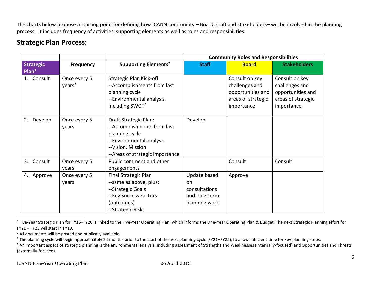The charts below propose a starting point for defining how ICANN community – Board, staff and stakeholders– will be involved in the planning process. It includes frequency of activities, supporting elements as well as roles and responsibilities.

## **Strategic Plan Process:**

|                                       |                                    |                                                                                                                                                            | <b>Community Roles and Responsibilities</b>                           |                                                                                           |                                                                                           |  |
|---------------------------------------|------------------------------------|------------------------------------------------------------------------------------------------------------------------------------------------------------|-----------------------------------------------------------------------|-------------------------------------------------------------------------------------------|-------------------------------------------------------------------------------------------|--|
| <b>Strategic</b><br>Plan <sup>1</sup> | <b>Frequency</b>                   | Supporting Elements <sup>2</sup>                                                                                                                           | <b>Staff</b>                                                          | <b>Board</b>                                                                              | <b>Stakeholders</b>                                                                       |  |
| 1. Consult                            | Once every 5<br>years <sup>3</sup> | <b>Strategic Plan Kick-off</b><br>--Accomplishments from last<br>planning cycle<br>--Environmental analysis,<br>including SWOT <sup>4</sup>                |                                                                       | Consult on key<br>challenges and<br>opportunities and<br>areas of strategic<br>importance | Consult on key<br>challenges and<br>opportunities and<br>areas of strategic<br>importance |  |
| Develop<br>2.                         | Once every 5<br>years              | Draft Strategic Plan:<br>--Accomplishments from last<br>planning cycle<br>--Environmental analysis<br>--Vision, Mission<br>--Areas of strategic importance | Develop                                                               |                                                                                           |                                                                                           |  |
| Consult<br>3.                         | Once every 5<br>years              | Public comment and other<br>engagements                                                                                                                    |                                                                       | Consult                                                                                   | Consult                                                                                   |  |
| 4. Approve                            | Once every 5<br>years              | Final Strategic Plan<br>--same as above, plus:<br>--Strategic Goals<br>-- Key Success Factors<br>(outcomes)<br>--Strategic Risks                           | Update based<br>on<br>consultations<br>and long-term<br>planning work | Approve                                                                                   |                                                                                           |  |

<sup>&</sup>lt;sup>1</sup> Five-Year Strategic Plan for FY16–FY20 is linked to the Five-Year Operating Plan, which informs the One-Year Operating Plan & Budget. The next Strategic Planning effort for FY21 – FY25 will start in FY19.

<sup>2</sup> All documents will be posted and publically available.

l

<sup>&</sup>lt;sup>3</sup> The planning cycle will begin approximately 24 months prior to the start of the next planning cycle (FY21–FY25), to allow sufficient time for key planning steps.

<sup>&</sup>lt;sup>4</sup> An important aspect of strategic planning is the environmental analysis, including assessment of Strengths and Weaknesses (internally-focused) and Opportunities and Threats (externally-focused).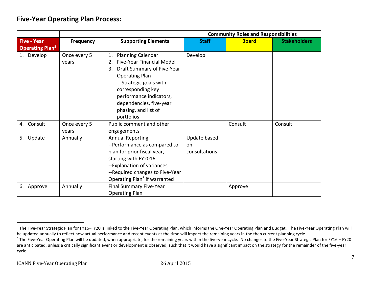## **Five-Year Operating Plan Process:**

|                                   |                  |                                          | <b>Community Roles and Responsibilities</b> |              |                     |  |
|-----------------------------------|------------------|------------------------------------------|---------------------------------------------|--------------|---------------------|--|
| <b>Five - Year</b>                | <b>Frequency</b> | <b>Supporting Elements</b>               | <b>Staff</b>                                | <b>Board</b> | <b>Stakeholders</b> |  |
| <b>Operating Plan<sup>5</sup></b> |                  |                                          |                                             |              |                     |  |
| 1. Develop                        | Once every 5     | <b>Planning Calendar</b><br>1.           | Develop                                     |              |                     |  |
|                                   | years            | <b>Five-Year Financial Model</b><br>2.   |                                             |              |                     |  |
|                                   |                  | Draft Summary of Five-Year<br>3.         |                                             |              |                     |  |
|                                   |                  | <b>Operating Plan</b>                    |                                             |              |                     |  |
|                                   |                  | -- Strategic goals with                  |                                             |              |                     |  |
|                                   |                  | corresponding key                        |                                             |              |                     |  |
|                                   |                  | performance indicators,                  |                                             |              |                     |  |
|                                   |                  | dependencies, five-year                  |                                             |              |                     |  |
|                                   |                  | phasing, and list of                     |                                             |              |                     |  |
|                                   |                  | portfolios                               |                                             |              |                     |  |
| Consult<br>4.                     | Once every 5     | Public comment and other                 |                                             | Consult      | Consult             |  |
|                                   | years            | engagements                              |                                             |              |                     |  |
| 5. Update                         | Annually         | <b>Annual Reporting</b>                  | Update based                                |              |                     |  |
|                                   |                  | --Performance as compared to             | on                                          |              |                     |  |
|                                   |                  | plan for prior fiscal year,              | consultations                               |              |                     |  |
|                                   |                  | starting with FY2016                     |                                             |              |                     |  |
|                                   |                  | --Explanation of variances               |                                             |              |                     |  |
|                                   |                  | --Required changes to Five-Year          |                                             |              |                     |  |
|                                   |                  | Operating Plan <sup>6</sup> if warranted |                                             |              |                     |  |
| 6. Approve                        | Annually         | <b>Final Summary Five-Year</b>           |                                             | Approve      |                     |  |
|                                   |                  | <b>Operating Plan</b>                    |                                             |              |                     |  |

 $\overline{\phantom{a}}$ 

<sup>&</sup>lt;sup>5</sup> The Five-Year Strategic Plan for FY16–FY20 is linked to the Five-Year Operating Plan, which informs the One-Year Operating Plan and Budget. The Five-Year Operating Plan will be updated annually to reflect how actual performance and recent events at the time will impact the remaining years in the then current planning cycle.

<sup>&</sup>lt;sup>6</sup> The Five-Year Operating Plan will be updated, when appropriate, for the remaining years within the five-year cycle. No changes to the Five-Year Strategic Plan for FY16 – FY20 are anticipated, unless a critically significant event or development is observed, such that it would have a significant impact on the strategy for the remainder of the five-year cycle.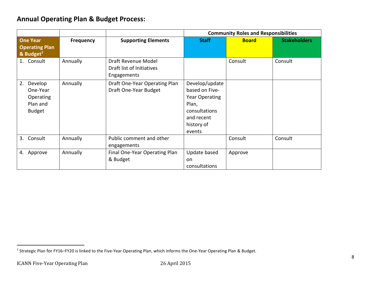## **Annual Operating Plan & Budget Process:**

|                                                                     |           |                                                                 |                                                                                                                    | <b>Community Roles and Responsibilities</b> |                     |  |
|---------------------------------------------------------------------|-----------|-----------------------------------------------------------------|--------------------------------------------------------------------------------------------------------------------|---------------------------------------------|---------------------|--|
| <b>One Year</b><br><b>Operating Plan</b><br>& Budget <sup>7</sup>   | Frequency | <b>Supporting Elements</b>                                      | <b>Staff</b>                                                                                                       | <b>Board</b>                                | <b>Stakeholders</b> |  |
| 1. Consult                                                          | Annually  | Draft Revenue Model<br>Draft list of Initiatives<br>Engagements |                                                                                                                    | Consult                                     | Consult             |  |
| 2.<br>Develop<br>One-Year<br>Operating<br>Plan and<br><b>Budget</b> | Annually  | Draft One-Year Operating Plan<br>Draft One-Year Budget          | Develop/update<br>based on Five-<br>Year Operating<br>Plan,<br>consultations<br>and recent<br>history of<br>events |                                             |                     |  |
| 3. Consult                                                          | Annually  | Public comment and other<br>engagements                         |                                                                                                                    | Consult                                     | Consult             |  |
| Approve<br>4.                                                       | Annually  | Final One-Year Operating Plan<br>& Budget                       | Update based<br>on<br>consultations                                                                                | Approve                                     |                     |  |

 $\overline{a}$ 

<sup>&</sup>lt;sup>7</sup> Strategic Plan for FY16–FY20 is linked to the Five-Year Operating Plan, which informs the One-Year Operating Plan & Budget.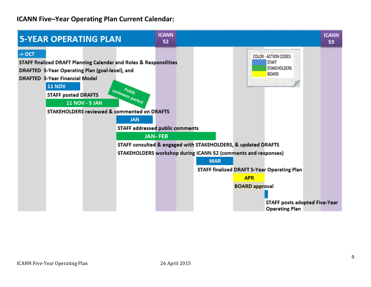## **ICANN Five–Year Operating Plan Current Calendar:**

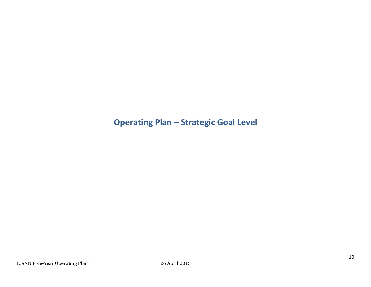## **Operating Plan – Strategic Goal Level**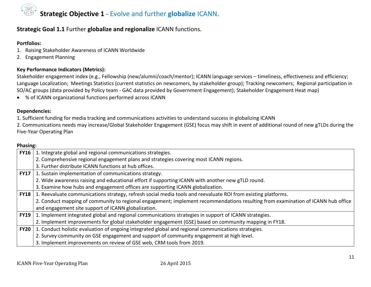## **Strategic Objective 1** - Evolve and further **globalize** ICANN.

### **Strategic Goal 1.1** Further **globalize and regionalize** ICANN functions.

#### **Portfolios:**

- 1. Raising Stakeholder Awareness of ICANN Worldwide
- 2. Engagement Planning

#### **Key Performance Indicators (Metrics):**

Stakeholder engagement index (e.g., Fellowship (new/alumni/coach/mentor); ICANN language services – timeliness, effectiveness and efficiency; Language Localization; Meetings Statistics (current statistics on newcomers, by stakeholder group); Tracking newcomers; Regional participation in SO/AC groups (data provided by Policy team - GAC data provided by Government Engagement); Stakeholder Engagement Heat map)

% of ICANN organizational functions performed across ICANN

#### **Dependencies:**

1. Sufficient funding for media tracking and communications activities to understand success in globalizing ICANN

2. Communications needs may increase/Global Stakeholder Engagement (GSE) focus may shift in event of additional round of new gTLDs during the Five-Year Operating Plan

| Phasing:    |                                                                                                                                  |
|-------------|----------------------------------------------------------------------------------------------------------------------------------|
| <b>FY16</b> | 1. Integrate global and regional communications strategies.                                                                      |
|             | 2. Comprehensive regional engagement plans and strategies covering most ICANN regions.                                           |
|             | 3. Further distribute ICANN functions at hub offices.                                                                            |
| <b>FY17</b> | 1. Sustain implementation of communications strategy.                                                                            |
|             | 2. Wide awareness raising and educational effort if supporting ICANN with another new gTLD round.                                |
|             | 3. Examine how hubs and engagement offices are supporting ICANN globalization.                                                   |
|             | <b>FY18</b>   1. Reevaluate communications strategy, refresh social media tools and reevaluate ROI from existing platforms.      |
|             | 2. Conduct mapping of community to regional engagement; implement recommendations resulting from examination of ICANN hub office |
|             | and engagement site support of ICANN globalization.                                                                              |
| <b>FY19</b> | 1. Implement integrated global and regional communications strategies in support of ICANN strategies.                            |
|             | 2. Implement improvements for global stakeholder engagement (GSE) based on community mapping in FY18.                            |
| <b>FY20</b> | 1. Conduct holistic evaluation of ongoing integrated global and regional communications strategies.                              |
|             | 2. Survey community on GSE engagement and support of community engagement at high level.                                         |
|             | 3. Implement improvements on review of GSE web, CRM tools from 2019.                                                             |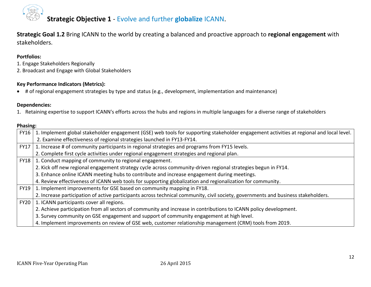

## **Strategic Objective 1** - Evolve and further **globalize** ICANN.

**Strategic Goal 1.2** Bring ICANN to the world by creating a balanced and proactive approach to **regional engagement** with stakeholders.

#### **Portfolios:**

- 1. Engage Stakeholders Regionally
- 2. Broadcast and Engage with Global Stakeholders

#### **Key Performance Indicators (Metrics):**

# of regional engagement strategies by type and status (e.g., development, implementation and maintenance)

#### **Dependencies:**

1. Retaining expertise to support ICANN's efforts across the hubs and regions in multiple languages for a diverse range of stakeholders

| <b>FY16</b> | 1. Implement global stakeholder engagement (GSE) web tools for supporting stakeholder engagement activities at regional and local level. |
|-------------|------------------------------------------------------------------------------------------------------------------------------------------|
|             | 2. Examine effectiveness of regional strategies launched in FY13-FY14.                                                                   |
| <b>FY17</b> | 1. Increase # of community participants in regional strategies and programs from FY15 levels.                                            |
|             | 2. Complete first cycle activities under regional engagement strategies and regional plan.                                               |
| <b>FY18</b> | 1. Conduct mapping of community to regional engagement.                                                                                  |
|             | 2. Kick off new regional engagement strategy cycle across community-driven regional strategies begun in FY14.                            |
|             | 3. Enhance online ICANN meeting hubs to contribute and increase engagement during meetings.                                              |
|             | 4. Review effectiveness of ICANN web tools for supporting globalization and regionalization for community.                               |
| <b>FY19</b> | 1. Implement improvements for GSE based on community mapping in FY18.                                                                    |
|             | 2. Increase participation of active participants across technical community, civil society, governments and business stakeholders.       |
| <b>FY20</b> | 1. ICANN participants cover all regions.                                                                                                 |
|             | 2. Achieve participation from all sectors of community and increase in contributions to ICANN policy development.                        |
|             | 3. Survey community on GSE engagement and support of community engagement at high level.                                                 |
|             | 4. Implement improvements on review of GSE web, customer relationship management (CRM) tools from 2019.                                  |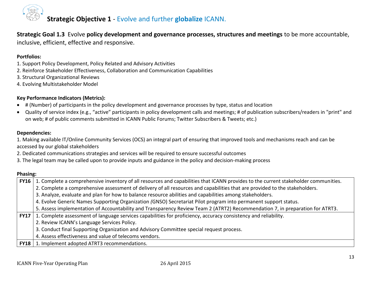

**Strategic Goal 1.3** Evolve **policy development and governance processes, structures and meetings** to be more accountable, inclusive, efficient, effective and responsive.

#### **Portfolios:**

- 1. Support Policy Development, Policy Related and Advisory Activities
- 2. Reinforce Stakeholder Effectiveness, Collaboration and Communication Capabilities
- 3. Structural Organizational Reviews
- 4. Evolving Multistakeholder Model

#### **Key Performance Indicators (Metrics):**

- # (Number) of participants in the policy development and governance processes by type, status and location
- Quality of service index (e.g., "active" participants in policy development calls and meetings; # of publication subscribers/readers in "print" and on web; # of public comments submitted in ICANN Public Forums; Twitter Subscribers & Tweets; etc.)

#### **Dependencies:**

1. Making available IT/Online Community Services (OCS) an integral part of ensuring that improved tools and mechanisms reach and can be accessed by our global stakeholders

- 2. Dedicated communications strategies and services will be required to ensure successful outcomes
- 3. The legal team may be called upon to provide inputs and guidance in the policy and decision-making process

| FY16        | 1. Complete a comprehensive inventory of all resources and capabilities that ICANN provides to the current stakeholder communities. |
|-------------|-------------------------------------------------------------------------------------------------------------------------------------|
|             | 2. Complete a comprehensive assessment of delivery of all resources and capabilities that are provided to the stakeholders.         |
|             | 3. Analyze, evaluate and plan for how to balance resource abilities and capabilities among stakeholders.                            |
|             | 4. Evolve Generic Names Supporting Organization (GNSO) Secretariat Pilot program into permanent support status.                     |
|             | 5. Assess implementation of Accountability and Transparency Review Team 2 (ATRT2) Recommendation 7, in preparation for ATRT3.       |
| <b>FY17</b> | 1. Complete assessment of language services capabilities for proficiency, accuracy consistency and reliability.                     |
|             | 2. Review ICANN's Language Services Policy.                                                                                         |
|             | 3. Conduct final Supporting Organization and Advisory Committee special request process.                                            |
|             | 4. Assess effectiveness and value of telecoms vendors.                                                                              |
| <b>FY18</b> | 1. Implement adopted ATRT3 recommendations.                                                                                         |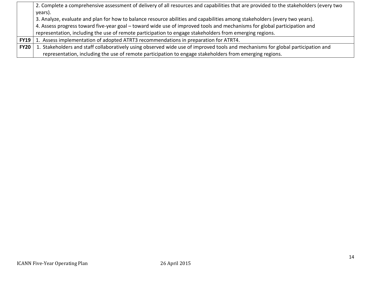|             | 2. Complete a comprehensive assessment of delivery of all resources and capabilities that are provided to the stakeholders (every two |
|-------------|---------------------------------------------------------------------------------------------------------------------------------------|
|             | years).                                                                                                                               |
|             | 3. Analyze, evaluate and plan for how to balance resource abilities and capabilities among stakeholders (every two years).            |
|             | 4. Assess progress toward five-year goal – toward wide use of improved tools and mechanisms for global participation and              |
|             | representation, including the use of remote participation to engage stakeholders from emerging regions.                               |
|             | FY19   1. Assess implementation of adopted ATRT3 recommendations in preparation for ATRT4.                                            |
| <b>FY20</b> | 1. Stakeholders and staff collaboratively using observed wide use of improved tools and mechanisms for global participation and       |
|             | representation, including the use of remote participation to engage stakeholders from emerging regions.                               |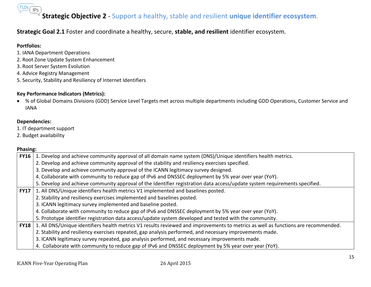## $(TLDs)$ **Strategic Objective 2** - Support a healthy, stable and resilient **unique identifier ecosystem**.

#### **Strategic Goal 2.1** Foster and coordinate a healthy, secure, **stable, and resilient** identifier ecosystem.

#### **Portfolios:**

- 1. IANA Department Operations
- 2. Root Zone Update System Enhancement
- 3. Root Server System Evolution
- 4. Advice Registry Management
- 5. Security, Stability and Resiliency of Internet Identifiers

#### **Key Performance Indicators (Metrics):**

 % of Global Domains Divisions (GDD) Service Level Targets met across multiple departments including GDD Operations, Customer Service and IANA

#### **Dependencies:**

- 1. IT department support
- 2. Budget availability

| <b>FY16</b> | 1. Develop and achieve community approval of all domain name system (DNS)/Unique identifiers health metrics.                       |
|-------------|------------------------------------------------------------------------------------------------------------------------------------|
|             | 2. Develop and achieve community approval of the stability and resiliency exercises specified.                                     |
|             | 3. Develop and achieve community approval of the ICANN legitimacy survey designed.                                                 |
|             | 4. Collaborate with community to reduce gap of IPv6 and DNSSEC deployment by 5% year over year (YoY).                              |
|             | 5. Develop and achieve community approval of the Identifier registration data access/update system requirements specified.         |
| <b>FY17</b> | 1. All DNS/Unique identifiers health metrics V1 implemented and baselines posted.                                                  |
|             | 2. Stability and resiliency exercises implemented and baselines posted.                                                            |
|             | 3. ICANN legitimacy survey implemented and baseline posted.                                                                        |
|             | 4. Collaborate with community to reduce gap of IPv6 and DNSSEC deployment by 5% year over year (YoY).                              |
|             | 5. Prototype identifier registration data access/update system developed and tested with the community.                            |
| <b>FY18</b> | 1. All DNS/Unique identifiers health metrics V1 results reviewed and improvements to metrics as well as functions are recommended. |
|             | 2. Stability and resiliency exercises repeated, gap analysis performed, and necessary improvements made.                           |
|             | 3. ICANN legitimacy survey repeated, gap analysis performed, and necessary improvements made.                                      |
|             | 4. Collaborate with community to reduce gap of IPv6 and DNSSEC deployment by 5% year over year (YoY).                              |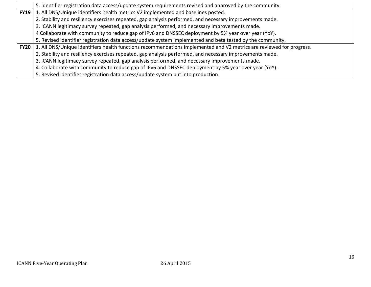|             | 5. Identifier registration data access/update system requirements revised and approved by the community.             |
|-------------|----------------------------------------------------------------------------------------------------------------------|
| <b>FY19</b> | 1. All DNS/Unique identifiers health metrics V2 implemented and baselines posted.                                    |
|             | 2. Stability and resiliency exercises repeated, gap analysis performed, and necessary improvements made.             |
|             | 3. ICANN legitimacy survey repeated, gap analysis performed, and necessary improvements made.                        |
|             | 4 Collaborate with community to reduce gap of IPv6 and DNSSEC deployment by 5% year over year (YoY).                 |
|             | 5. Revised identifier registration data access/update system implemented and beta tested by the community.           |
| <b>FY20</b> | 1. All DNS/Unique identifiers health functions recommendations implemented and V2 metrics are reviewed for progress. |
|             | 2. Stability and resiliency exercises repeated, gap analysis performed, and necessary improvements made.             |
|             | 3. ICANN legitimacy survey repeated, gap analysis performed, and necessary improvements made.                        |
|             | 4. Collaborate with community to reduce gap of IPv6 and DNSSEC deployment by 5% year over year (YoY).                |
|             | 5. Revised identifier registration data access/update system put into production.                                    |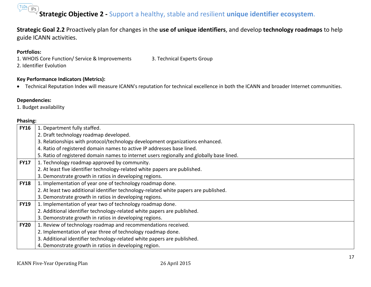## $(TLDs)$ **Strategic Objective 2 -** Support a healthy, stable and resilient **unique identifier ecosystem**.

**Strategic Goal 2.2** Proactively plan for changes in the **use of unique identifiers**, and develop **technology roadmaps** to help guide ICANN activities.

#### **Portfolios:**

- 1. WHOIS Core Function/ Service & Improvements 3. Technical Experts Group
- 2. Identifier Evolution

#### **Key Performance Indicators (Metrics):**

Technical Reputation Index will measure ICANN's reputation for technical excellence in both the ICANN and broader Internet communities.

#### **Dependencies:**

1. Budget availability

| 1. Department fully staffed.                                                              |
|-------------------------------------------------------------------------------------------|
| 2. Draft technology roadmap developed.                                                    |
| 3. Relationships with protocol/technology development organizations enhanced.             |
| 4. Ratio of registered domain names to active IP addresses base lined.                    |
| 5. Ratio of registered domain names to internet users regionally and globally base lined. |
| 1. Technology roadmap approved by community.                                              |
| 2. At least five identifier technology-related white papers are published.                |
| 3. Demonstrate growth in ratios in developing regions.                                    |
| 1. Implementation of year one of technology roadmap done.                                 |
| 2. At least two additional identifier technology-related white papers are published.      |
| 3. Demonstrate growth in ratios in developing regions.                                    |
| 1. Implementation of year two of technology roadmap done.                                 |
| 2. Additional identifier technology-related white papers are published.                   |
| 3. Demonstrate growth in ratios in developing regions.                                    |
| 1. Review of technology roadmap and recommendations received.                             |
| 2. Implementation of year three of technology roadmap done.                               |
| 3. Additional identifier technology-related white papers are published.                   |
| 4. Demonstrate growth in ratios in developing region.                                     |
|                                                                                           |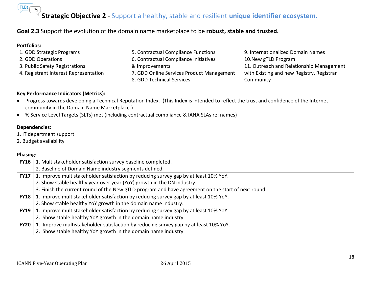# **Strategic Objective 2** - Support a healthy, stable and resilient **unique identifier ecosystem**.

#### **Goal 2.3** Support the evolution of the domain name marketplace to be **robust, stable and trusted.**

#### **Portfolios:**  1. GDD Strategic Programs 2. GDD Operations 3. Public Safety Registrations 4. Registrant Interest Representation 5. Contractual Compliance Functions 6. Contractual Compliance Initiatives & Improvements 7. GDD Online Services Product Management 8. GDD Technical Services 9. Internationalized Domain Names 10.New gTLD Program 11. Outreach and Relationship Management with Existing and new Registry, Registrar **Community**

#### **Key Performance Indicators (Metrics):**

- Progress towards developing a Technical Reputation Index. (This Index is intended to reflect the trust and confidence of the Internet community in the Domain Name Marketplace.)
- % Service Level Targets (SLTs) met (including contractual compliance & IANA SLAs re: names)

#### **Dependencies:**

- 1. IT department support
- 2. Budget availability

| <b>FY16</b> | 1. Multistakeholder satisfaction survey baseline completed.                                        |
|-------------|----------------------------------------------------------------------------------------------------|
|             | 2. Baseline of Domain Name industry segments defined.                                              |
| <b>FY17</b> | 1. Improve multistakeholder satisfaction by reducing survey gap by at least 10% YoY.               |
|             | 2. Show stable healthy year over year (YoY) growth in the DN industry.                             |
|             | 3. Finish the current round of the New gTLD program and have agreement on the start of next round. |
| <b>FY18</b> | 1. Improve multistakeholder satisfaction by reducing survey gap by at least 10% YoY.               |
|             | 2. Show stable healthy YoY growth in the domain name industry.                                     |
| FY19        | 1. Improve multistakeholder satisfaction by reducing survey gap by at least 10% YoY.               |
|             | 2. Show stable healthy YoY growth in the domain name industry.                                     |
| <b>FY20</b> | 1. Improve multistakeholder satisfaction by reducing survey gap by at least 10% YoY.               |
|             | 2. Show stable healthy YoY growth in the domain name industry.                                     |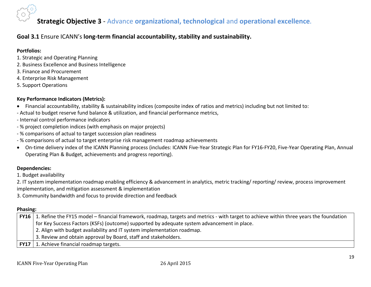## **Strategic Objective 3** - Advance **organizational, technological** and **operational excellence.**

#### **Goal 3.1** Ensure ICANN's **long-term financial accountability, stability and sustainability.**

#### **Portfolios:**

- 1. Strategic and Operating Planning
- 2. Business Excellence and Business Intelligence
- 3. Finance and Procurement
- 4. Enterprise Risk Management
- 5. Support Operations

#### **Key Performance Indicators (Metrics):**

- Financial accountability, stability & sustainability indices (composite index of ratios and metrics) including but not limited to:
- Actual to budget reserve fund balance & utilization, and financial performance metrics,
- Internal control performance indicators
- % project completion indices (with emphasis on major projects)
- % comparisons of actual to target succession plan readiness
- % comparisons of actual to target enterprise risk management roadmap achievements
- On-time delivery index of the ICANN Planning process (includes: ICANN Five-Year Strategic Plan for FY16-FY20, Five-Year Operating Plan, Annual Operating Plan & Budget, achievements and progress reporting).

#### **Dependencies:**

1. Budget availability

2. IT system implementation roadmap enabling efficiency & advancement in analytics, metric tracking/ reporting/ review, process improvement implementation, and mitigation assessment & implementation

3. Community bandwidth and focus to provide direction and feedback

| FY16   1. Refine the FY15 model – financial framework, roadmap, targets and metrics - with target to achieve within three years the foundation |
|------------------------------------------------------------------------------------------------------------------------------------------------|
| for Key Success Factors (KSFs) (outcome) supported by adequate system advancement in place.                                                    |
| 2. Align with budget availability and IT system implementation roadmap.                                                                        |
| 3. Review and obtain approval by Board, staff and stakeholders.                                                                                |
| <b>FY17</b> 1. Achieve financial roadmap targets.                                                                                              |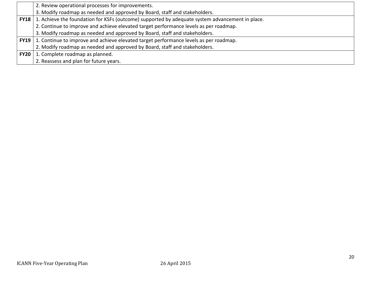|               | 2. Review operational processes for improvements.                                               |
|---------------|-------------------------------------------------------------------------------------------------|
|               | 3. Modify roadmap as needed and approved by Board, staff and stakeholders.                      |
| <b>FY18</b> 1 | 1. Achieve the foundation for KSFs (outcome) supported by adequate system advancement in place. |
|               | 2. Continue to improve and achieve elevated target performance levels as per roadmap.           |
|               | 3. Modify roadmap as needed and approved by Board, staff and stakeholders.                      |
| <b>FY19</b>   | 1. Continue to improve and achieve elevated target performance levels as per roadmap.           |
|               | 2. Modify roadmap as needed and approved by Board, staff and stakeholders.                      |
| <b>FY20</b>   | 1. Complete roadmap as planned.                                                                 |
|               | 2. Reassess and plan for future years.                                                          |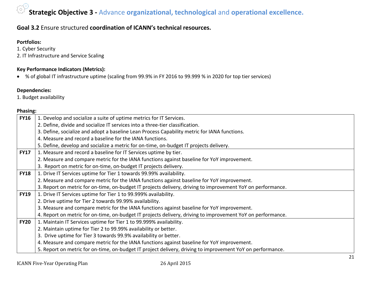## **Strategic Objective 3 -** Advance **organizational, technological** and **operational excellence.**

#### **Goal 3.2** Ensure structured **coordination of ICANN's technical resources.**

#### **Portfolios:**

- 1. Cyber Security
- 2. IT Infrastructure and Service Scaling

#### **Key Performance Indicators (Metrics):**

% of global IT infrastructure uptime (scaling from 99.9% in FY 2016 to 99.999 % in 2020 for top tier services)

#### **Dependencies:**

1. Budget availability

| <b>FY16</b> | 1. Develop and socialize a suite of uptime metrics for IT Services.                                         |
|-------------|-------------------------------------------------------------------------------------------------------------|
|             | 2. Define, divide and socialize IT services into a three-tier classification.                               |
|             | 3. Define, socialize and adopt a baseline Lean Process Capability metric for IANA functions.                |
|             | 4. Measure and record a baseline for the IANA functions.                                                    |
|             | 5. Define, develop and socialize a metric for on-time, on-budget IT projects delivery.                      |
| <b>FY17</b> | 1. Measure and record a baseline for IT Services uptime by tier.                                            |
|             | 2. Measure and compare metric for the IANA functions against baseline for YoY improvement.                  |
|             | 3. Report on metric for on-time, on-budget IT projects delivery.                                            |
| <b>FY18</b> | 1. Drive IT Services uptime for Tier 1 towards 99.99% availability.                                         |
|             | 2. Measure and compare metric for the IANA functions against baseline for YoY improvement.                  |
|             | 3. Report on metric for on-time, on-budget IT projects delivery, driving to improvement YoY on performance. |
| <b>FY19</b> | 1. Drive IT Services uptime for Tier 1 to 99.999% availability.                                             |
|             | 2. Drive uptime for Tier 2 towards 99.99% availability.                                                     |
|             | 3. Measure and compare metric for the IANA functions against baseline for YoY improvement.                  |
|             | 4. Report on metric for on-time, on-budget IT projects delivery, driving to improvement YoY on performance. |
| <b>FY20</b> | 1. Maintain IT Services uptime for Tier 1 to 99.999% availability.                                          |
|             | 2. Maintain uptime for Tier 2 to 99.99% availability or better.                                             |
|             | 3. Drive uptime for Tier 3 towards 99.9% availability or better.                                            |
|             | 4. Measure and compare metric for the IANA functions against baseline for YoY improvement.                  |
|             | 5. Report on metric for on-time, on-budget IT project delivery, driving to improvement YoY on performance.  |
|             |                                                                                                             |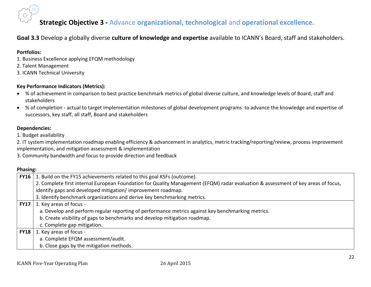

## **Strategic Objective 3 -** Advance **organizational, technological** and **operational excellence.**

#### **Goal 3.3** Develop a globally diverse **culture of knowledge and expertise** available to ICANN's Board, staff and stakeholders.

#### **Portfolios:**

- 1. Business Excellence applying EFQM methodology
- 2. Talent Management
- 3. ICANN Technical University

#### **Key Performance Indicators (Metrics):**

- % of achievement in comparison to best practice benchmark metrics of global diverse culture, and knowledge levels of Board, staff and stakeholders
- % of completion actual to target implementation milestones of global development programs to advance the knowledge and expertise of successors, key staff, all staff, Board and stakeholders

#### **Dependencies:**

1. Budget availability

2. IT system implementation roadmap enabling efficiency & advancement in analytics, metric tracking/reporting/review, process improvement implementation, and mitigation assessment & implementation

3. Community bandwidth and focus to provide direction and feedback

| <b>FY16</b> | 1. Build on the FY15 achievements related to this goal KSFs (outcome).                                                            |
|-------------|-----------------------------------------------------------------------------------------------------------------------------------|
|             | 2. Complete first internal European Foundation for Quality Management (EFQM) radar evaluation & assessment of key areas of focus, |
|             | identify gaps and developed mitigation/improvement roadmap.                                                                       |
|             | 3. Identify benchmark organizations and derive key benchmarking metrics.                                                          |
| <b>FY17</b> | 1. Key areas of focus -                                                                                                           |
|             | a. Develop and perform regular reporting of performance metrics against key benchmarking metrics.                                 |
|             | b. Create visibility of gaps to benchmarks and develop mitigation roadmap.                                                        |
|             | c. Complete gap mitigation.                                                                                                       |
| <b>FY18</b> | 1. Key areas of focus -                                                                                                           |
|             | a. Complete EFQM assessment/audit.                                                                                                |
|             | b. Close gaps by the mitigation methods.                                                                                          |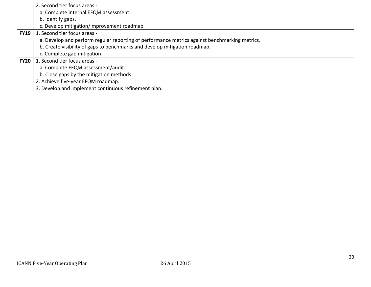|             | 2. Second tier focus areas -                                                                  |
|-------------|-----------------------------------------------------------------------------------------------|
|             | a. Complete internal EFQM assessment.                                                         |
|             | b. Identify gaps.                                                                             |
|             | c. Develop mitigation/improvement roadmap                                                     |
| <b>FY19</b> | 1. Second tier focus areas -                                                                  |
|             | a. Develop and perform regular reporting of performance metrics against benchmarking metrics. |
|             | b. Create visibility of gaps to benchmarks and develop mitigation roadmap.                    |
|             | c. Complete gap mitigation.                                                                   |
| <b>FY20</b> | 1. Second tier focus areas -                                                                  |
|             | a. Complete EFQM assessment/audit.                                                            |
|             | b. Close gaps by the mitigation methods.                                                      |
|             | 2. Achieve five-year EFQM roadmap.                                                            |
|             | 3. Develop and implement continuous refinement plan.                                          |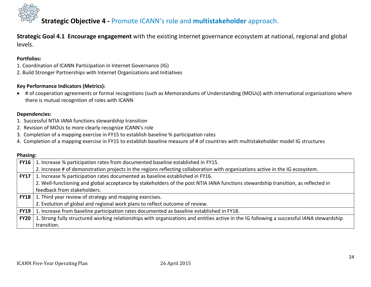

**Strategic Goal 4.1 Encourage engagement** with the existing Internet governance ecosystem at national, regional and global levels.

#### **Portfolios:**

- 1. Coordination of ICANN Participation in Internet Governance (IG)
- 2. Build Stronger Partnerships with Internet Organizations and Initiatives

#### **Key Performance Indicators (Metrics):**

 # of cooperation agreements or formal recognitions (such as Memorandums of Understanding (MOUs)) with international organizations where there is mutual recognition of roles with ICANN

#### **Dependencies:**

- 1. Successful NTIA IANA functions stewardship transition
- 2. Revision of MOUs to more clearly recognize ICANN's role
- 3. Completion of a mapping exercise in FY15 to establish baseline % participation rates
- 4. Completion of a mapping exercise in FY15 to establish baseline measure of # of countries with multistakeholder model IG structures

| <b>FY16</b> | 1. Increase % participation rates from documented baseline established in FY15.                                                           |
|-------------|-------------------------------------------------------------------------------------------------------------------------------------------|
|             | 2. Increase # of demonstration projects in the regions reflecting collaboration with organizations active in the IG ecosystem.            |
| <b>FY17</b> | 1. Increase % participation rates documented as baseline established in FY16.                                                             |
|             | 2. Well-functioning and global acceptance by stakeholders of the post NTIA IANA functions stewardship transition, as reflected in         |
|             | feedback from stakeholders.                                                                                                               |
| <b>FY18</b> | 1. Third year review of strategy and mapping exercises.                                                                                   |
|             | 2. Evolution of global and regional work plans to reflect outcome of review.                                                              |
| <b>FY19</b> | 1. Increase from baseline participation rates documented as baseline established in FY18.                                                 |
| <b>FY20</b> | 1. Strong fully structured working relationships with organizations and entities active in the IG following a successful IANA stewardship |
|             | transition.                                                                                                                               |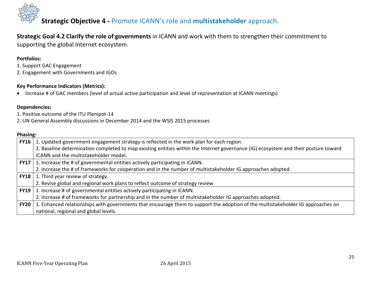

**Strategic Goal 4.2 Clarify the role of governments** in ICANN and work with them to strengthen their commitment to supporting the global Internet ecosystem.

#### **Portfolios:**

- 1. Support GAC Engagement
- 2. Engagement with Governments and IGOs

#### **Key Performance Indicators (Metrics):**

Increase # of GAC members (level of actual active participation and level of representation at ICANN meetings)

#### **Dependencies:**

- 1. Positive outcome of the ITU Plenipot-14
- 2. UN General Assembly discussions in December 2014 and the WSIS 2015 processes

| <b>FY16</b> | 1. Updated government engagement strategy is reflected in the work plan for each region.                                            |
|-------------|-------------------------------------------------------------------------------------------------------------------------------------|
|             | 2. Baseline determination completed to map existing entities within the Internet governance (IG) ecosystem and their posture toward |
|             | ICANN and the multistakeholder model.                                                                                               |
| <b>FY17</b> | 1. Increase the # of governmental entities actively participating in ICANN.                                                         |
|             | 2. Increase the # of frameworks for cooperation and in the number of multistakeholder IG approaches adopted.                        |
|             | <b>FY18</b>   1. Third year review of strategy.                                                                                     |
|             | 2. Revise global and regional work plans to reflect outcome of strategy review.                                                     |
| <b>FY19</b> | 1. Increase # of governmental entities actively participating in ICANN.                                                             |
|             | 2. Increase # of frameworks for partnership and in the number of multistakeholder IG approaches adopted.                            |
| <b>FY20</b> | 1. Enhanced relationships with governments that encourage them to support the adoption of the multistakeholder IG approaches on     |
|             | national, regional and global levels.                                                                                               |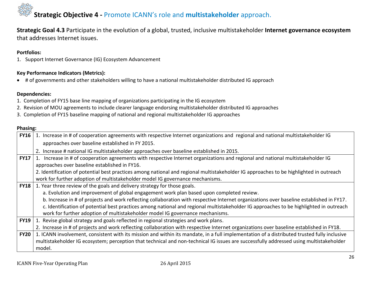**Strategic Goal 4.3** Participate in the evolution of a global, trusted, inclusive multistakeholder **Internet governance ecosystem** that addresses Internet issues.

#### **Portfolios:**

1. Support Internet Governance (IG) Ecosystem Advancement

#### **Key Performance Indicators (Metrics):**

# of governments and other stakeholders willing to have a national multistakeholder distributed IG approach

#### **Dependencies:**

- 1. Completion of FY15 base line mapping of organizations participating in the IG ecosystem
- 2. Revision of MOU agreements to include clearer language endorsing multistakeholder distributed IG approaches
- 3. Completion of FY15 baseline mapping of national and regional multistakeholder IG approaches

| <b>FY16</b> | 1. Increase in # of cooperation agreements with respective Internet organizations and regional and national multistakeholder IG             |
|-------------|---------------------------------------------------------------------------------------------------------------------------------------------|
|             | approaches over baseline established in FY 2015.                                                                                            |
|             | 2. Increase # national IG multistakeholder approaches over baseline established in 2015.                                                    |
| <b>FY17</b> | 1. Increase in # of cooperation agreements with respective Internet organizations and regional and national multistakeholder IG             |
|             | approaches over baseline established in FY16.                                                                                               |
|             | 2. Identification of potential best practices among national and regional multistakeholder IG approaches to be highlighted in outreach      |
|             | work for further adoption of multistakeholder model IG governance mechanisms.                                                               |
| <b>FY18</b> | 1. Year three review of the goals and delivery strategy for those goals.                                                                    |
|             | a. Evolution and improvement of global engagement work plan based upon completed review.                                                    |
|             | b. Increase in # of projects and work reflecting collaboration with respective Internet organizations over baseline established in FY17.    |
|             | c. Identification of potential best practices among national and regional multistakeholder IG approaches to be highlighted in outreach      |
|             | work for further adoption of multistakeholder model IG governance mechanisms.                                                               |
| <b>FY19</b> | 1. Revise global strategy and goals reflected in regional strategies and work plans.                                                        |
|             | 2. Increase in # of projects and work reflecting collaboration with respective Internet organizations over baseline established in FY18.    |
| <b>FY20</b> | 1. ICANN involvement, consistent with its mission and within its mandate, in a full implementation of a distributed trusted fully inclusive |
|             | multistakeholder IG ecosystem; perception that technical and non-technical IG issues are successfully addressed using multistakeholder      |
|             | model.                                                                                                                                      |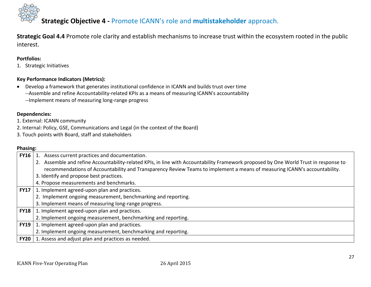

**Strategic Goal 4.4** Promote role clarity and establish mechanisms to increase trust within the ecosystem rooted in the public interest.

#### **Portfolios:**

1. Strategic Initiatives

#### **Key Performance Indicators (Metrics):**

- Develop a framework that generates institutional confidence in ICANN and builds trust over time
	- --Assemble and refine Accountability-related KPIs as a means of measuring ICANN's accountability
	- --Implement means of measuring long-range progress

#### **Dependencies:**

- 1. External: ICANN community
- 2. Internal: Policy, GSE, Communications and Legal (in the context of the Board)
- 3. Touch points with Board, staff and stakeholders

| <b>FY16</b> | 1. Assess current practices and documentation.                                                                                       |
|-------------|--------------------------------------------------------------------------------------------------------------------------------------|
|             | 2. Assemble and refine Accountability-related KPIs, in line with Accountability Framework proposed by One World Trust in response to |
|             | recommendations of Accountability and Transparency Review Teams to implement a means of measuring ICANN's accountability.            |
|             | 3. Identify and propose best practices.                                                                                              |
|             | 4. Propose measurements and benchmarks.                                                                                              |
| <b>FY17</b> | 1. Implement agreed-upon plan and practices.                                                                                         |
|             | 2. Implement ongoing measurement, benchmarking and reporting.                                                                        |
|             | 3. Implement means of measuring long-range progress.                                                                                 |
|             | <b>FY18</b>   1. Implement agreed-upon plan and practices.                                                                           |
|             | 2. Implement ongoing measurement, benchmarking and reporting.                                                                        |
| <b>FY19</b> | 1. Implement agreed-upon plan and practices.                                                                                         |
|             | 2. Implement ongoing measurement, benchmarking and reporting.                                                                        |
| <b>FY20</b> | 1. Assess and adjust plan and practices as needed.                                                                                   |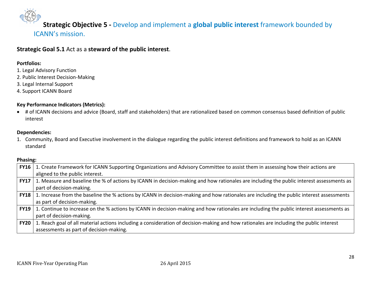**Strategic Objective 5 -** Develop and implement a **global public interest** framework bounded by ICANN's mission.

**Strategic Goal 5.1** Act as a **steward of the public interest**.

#### **Portfolios:**

- 1. Legal Advisory Function
- 2. Public Interest Decision-Making
- 3. Legal Internal Support
- 4. Support ICANN Board

#### **Key Performance Indicators (Metrics):**

 # of ICANN decisions and advice (Board, staff and stakeholders) that are rationalized based on common consensus based definition of public interest

#### **Dependencies:**

1. Community, Board and Executive involvement in the dialogue regarding the public interest definitions and framework to hold as an ICANN standard

| <b>FY16</b> | 1. Create Framework for ICANN Supporting Organizations and Advisory Committee to assist them in assessing how their actions are          |
|-------------|------------------------------------------------------------------------------------------------------------------------------------------|
|             | aligned to the public interest.                                                                                                          |
| <b>FY17</b> | 1. Measure and baseline the % of actions by ICANN in decision-making and how rationales are including the public interest assessments as |
|             | part of decision-making.                                                                                                                 |
| <b>FY18</b> | 1. Increase from the baseline the % actions by ICANN in decision-making and how rationales are including the public interest assessments |
|             | as part of decision-making.                                                                                                              |
| <b>FY19</b> | 1. Continue to increase on the % actions by ICANN in decision-making and how rationales are including the public interest assessments as |
|             | part of decision-making.                                                                                                                 |
| <b>FY20</b> | 1. Reach goal of all material actions including a consideration of decision-making and how rationales are including the public interest  |
|             | assessments as part of decision-making.                                                                                                  |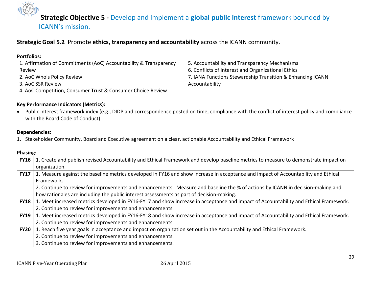

**Strategic Objective 5 -** Develop and implement a **global public interest** framework bounded by ICANN's mission.

#### **Strategic Goal 5.2** Promote **ethics, transparency and accountability** across the ICANN community.

| <b>Portfolios:</b>                                                |
|-------------------------------------------------------------------|
| 1. Affirmation of Commitments (AoC) Accountability & Transparency |
| Review                                                            |
| 2. AoC Whois Policy Review                                        |
| 3. AoC SSR Review                                                 |
| 4. AoC Competition, Consumer Trust & Consumer Choice Review       |

5. Accountability and Transparency Mechanisms 6. Conflicts of Interest and Organizational Ethics 7. IANA Functions Stewardship Transition & Enhancing ICANN Accountability

#### **Key Performance Indicators (Metrics):**

 Public interest framework index (e.g., DIDP and correspondence posted on time, compliance with the conflict of interest policy and compliance with the Board Code of Conduct)

#### **Dependencies:**

1. Stakeholder Community, Board and Executive agreement on a clear, actionable Accountability and Ethical Framework

| <b>FY16</b> | 1. Create and publish revised Accountability and Ethical Framework and develop baseline metrics to measure to demonstrate impact on  |
|-------------|--------------------------------------------------------------------------------------------------------------------------------------|
|             | organization.                                                                                                                        |
| <b>FY17</b> | 1. Measure against the baseline metrics developed in FY16 and show increase in acceptance and impact of Accountability and Ethical   |
|             | Framework.                                                                                                                           |
|             | 2. Continue to review for improvements and enhancements. Measure and baseline the % of actions by ICANN in decision-making and       |
|             | how rationales are including the public interest assessments as part of decision-making.                                             |
| <b>FY18</b> | 1. Meet increased metrics developed in FY16-FY17 and show increase in acceptance and impact of Accountability and Ethical Framework. |
|             | 2. Continue to review for improvements and enhancements.                                                                             |
| <b>FY19</b> | 1. Meet increased metrics developed in FY16-FY18 and show increase in acceptance and impact of Accountability and Ethical Framework. |
|             | 2. Continue to review for improvements and enhancements.                                                                             |
| <b>FY20</b> | 1. Reach five year goals in acceptance and impact on organization set out in the Accountability and Ethical Framework.               |
|             | 2. Continue to review for improvements and enhancements.                                                                             |
|             | 3. Continue to review for improvements and enhancements.                                                                             |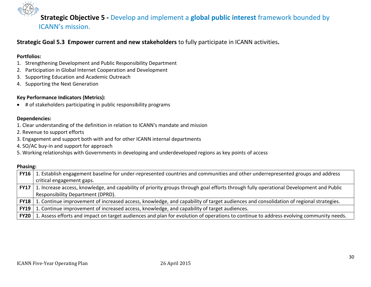

## **Strategic Objective 5 -** Develop and implement a **global public interest** framework bounded by ICANN's mission.

#### **Strategic Goal 5.3 Empower current and new stakeholders** to fully participate in ICANN activities**.**

#### **Portfolios:**

- 1. Strengthening Development and Public Responsibility Department
- 2. Participation in Global Internet Cooperation and Development
- 3. Supporting Education and Academic Outreach
- 4. Supporting the Next Generation

#### **Key Performance Indicators (Metrics):**

# of stakeholders participating in public responsibility programs

#### **Dependencies:**

- 1. Clear understanding of the definition in relation to ICANN's mandate and mission
- 2. Revenue to support efforts
- 3. Engagement and support both with and for other ICANN internal departments
- 4. SO/AC buy-in and support for approach
- 5. Working relationships with Governments in developing and underdeveloped regions as key points of access

| <b>FY16</b> | 1. Establish engagement baseline for under-represented countries and communities and other underrepresented groups and address         |
|-------------|----------------------------------------------------------------------------------------------------------------------------------------|
|             | critical engagement gaps.                                                                                                              |
| <b>FY17</b> | 1. Increase access, knowledge, and capability of priority groups through goal efforts through fully operational Development and Public |
|             | Responsibility Department (DPRD).                                                                                                      |
| <b>FY18</b> | 1. Continue improvement of increased access, knowledge, and capability of target audiences and consolidation of regional strategies.   |
| <b>FY19</b> | 1. Continue improvement of increased access, knowledge, and capability of target audiences.                                            |
| <b>FY20</b> | 1. Assess efforts and impact on target audiences and plan for evolution of operations to continue to address evolving community needs. |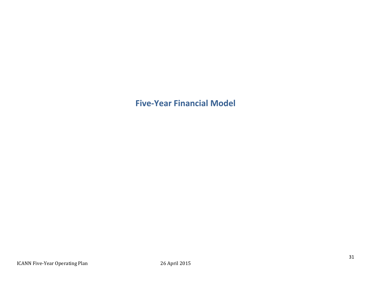## **Five-Year Financial Model**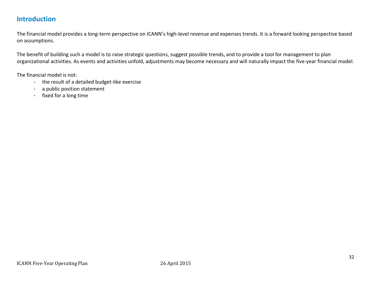## **Introduction**

The financial model provides a long-term perspective on ICANN's high-level revenue and expenses trends. It is a forward looking perspective based on assumptions.

The benefit of building such a model is to raise strategic questions, suggest possible trends, and to provide a tool for management to plan organizational activities. As events and activities unfold, adjustments may become necessary and will naturally impact the five-year financial model.

The financial model is not:

- the result of a detailed budget-like exercise
- a public position statement
- fixed for a long time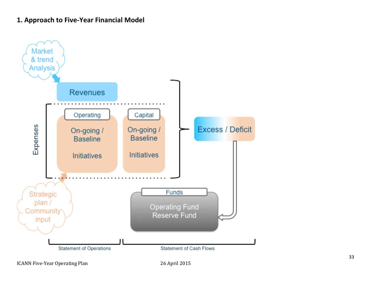## **1. Approach to Five-Year Financial Model**

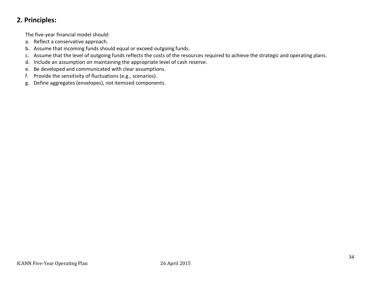## **2. Principles:**

The five-year financial model should:

- a. Reflect a conservative approach.
- b. Assume that incoming funds should equal or exceed outgoing funds.
- c. Assume that the level of outgoing funds reflects the costs of the resources required to achieve the strategic and operating plans.
- d. Include an assumption on maintaining the appropriate level of cash reserve.
- e. Be developed and communicated with clear assumptions.
- f. Provide the sensitivity of fluctuations (e.g., scenarios).
- g. Define aggregates (envelopes), not itemized components.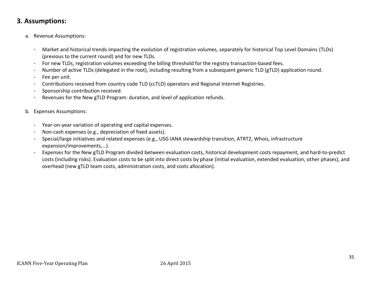## **3. Assumptions:**

- a. Revenue Assumptions:
	- Market and historical trends impacting the evolution of registration volumes, separately for historical Top Level Domains (TLDs) (previous to the current round) and for new TLDs.
	- For new TLDs, registration volumes exceeding the billing threshold for the registry transaction-based fees.
	- Number of active TLDs (delegated in the root), including resulting from a subsequent generic TLD (gTLD) application round.
	- Fee per unit.
	- Contributions received from country code TLD (ccTLD) operators and Regional Internet Registries.
	- Sponsorship contribution received.
	- Revenues for the New gTLD Program: duration, and level of application refunds.
- b. Expenses Assumptions:
	- Year-on-year variation of operating and capital expenses.
	- Non-cash expenses (e.g., depreciation of fixed assets).
	- Special/large initiatives and related expenses (e.g., USG IANA stewardship transition, ATRT2, Whois, infrastructure expansion/improvements,…).
	- Expenses for the New gTLD Program divided between evaluation costs, historical development costs repayment, and hard-to-predict costs (including risks). Evaluation costs to be split into direct costs by phase (initial evaluation, extended evaluation, other phases), and overhead (new gTLD team costs, administration costs, and costs allocation).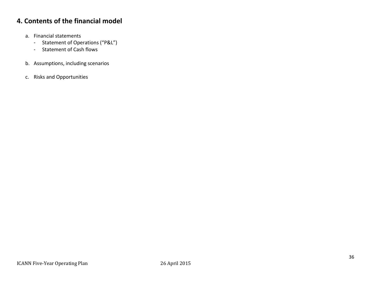## **4. Contents of the financial model**

- a. Financial statements
	- Statement of Operations ("P&L")
	- Statement of Cash flows
- b. Assumptions, including scenarios
- c. Risks and Opportunities